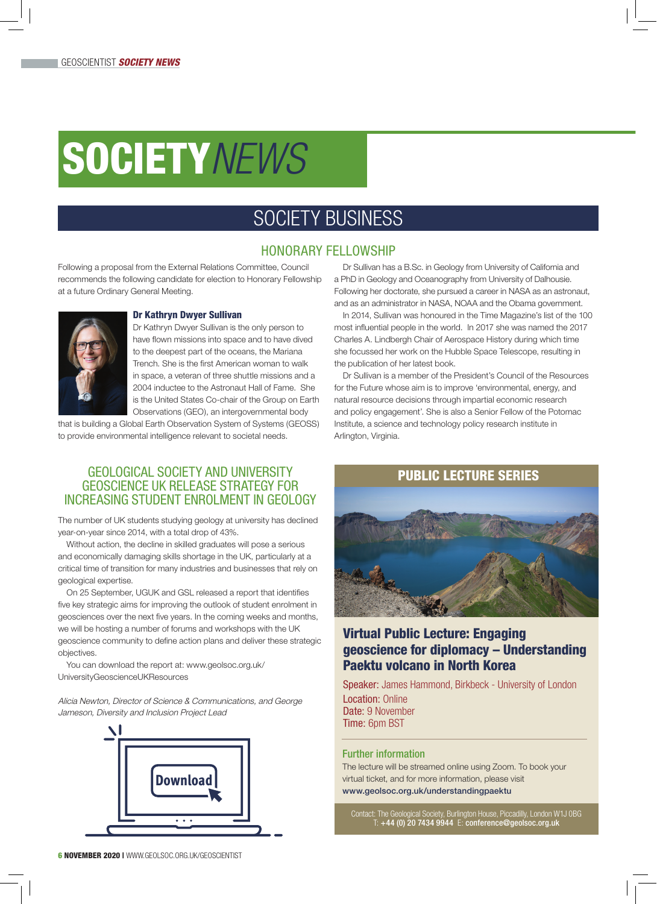# SOCIETY*NEWS*

## SOCIETY BUSINESS

#### HONORARY FELLOWSHIP

Following a proposal from the External Relations Committee, Council recommends the following candidate for election to Honorary Fellowship at a future Ordinary General Meeting.



#### Dr Kathryn Dwyer Sullivan

Dr Kathryn Dwyer Sullivan is the only person to have flown missions into space and to have dived to the deepest part of the oceans, the Mariana Trench. She is the first American woman to walk in space, a veteran of three shuttle missions and a 2004 inductee to the Astronaut Hall of Fame. She is the United States Co-chair of the Group on Earth Observations (GEO), an intergovernmental body

that is building a Global Earth Observation System of Systems (GEOSS) to provide environmental intelligence relevant to societal needs.

#### GEOLOGICAL SOCIETY AND UNIVERSITY GEOSCIENCE UK RELEASE STRATEGY FOR INCREASING STUDENT ENROLMENT IN GEOLOGY

The number of UK students studying geology at university has declined year-on-year since 2014, with a total drop of 43%.

Without action, the decline in skilled graduates will pose a serious and economically damaging skills shortage in the UK, particularly at a critical time of transition for many industries and businesses that rely on geological expertise.

On 25 September, UGUK and GSL released a report that identifies five key strategic aims for improving the outlook of student enrolment in geosciences over the next five years. In the coming weeks and months, we will be hosting a number of forums and workshops with the UK geoscience community to define action plans and deliver these strategic objectives.

You can download the report at: www.geolsoc.org.uk/ UniversityGeoscienceUKResources

Alicia Newton, Director of Science & Communications, and George Jameson, Diversity and Inclusion Project Lead



Dr Sullivan has a B.Sc. in Geology from University of California and a PhD in Geology and Oceanography from University of Dalhousie. Following her doctorate, she pursued a career in NASA as an astronaut, and as an administrator in NASA, NOAA and the Obama government.

In 2014, Sullivan was honoured in the Time Magazine's list of the 100 most influential people in the world. In 2017 she was named the 2017 Charles A. Lindbergh Chair of Aerospace History during which time she focussed her work on the Hubble Space Telescope, resulting in the publication of her latest book.

Dr Sullivan is a member of the President's Council of the Resources for the Future whose aim is to improve 'environmental, energy, and natural resource decisions through impartial economic research and policy engagement'. She is also a Senior Fellow of the Potomac Institute, a science and technology policy research institute in Arlington, Virginia.

#### PUBLIC LECTURE SERIES



#### Virtual Public Lecture: Engaging geoscience for diplomacy – Understanding Paektu volcano in North Korea

Speaker: James Hammond, Birkbeck - University of London

Location: Online Date: 9 November Time: 6pm BST

#### Further information

The lecture will be streamed online using Zoom. To book your virtual ticket, and for more information, please visit www.geolsoc.org.uk/understandingpaektu

Contact: The Geological Society, Burlington House, Piccadilly, London W1J 0BG T: +44 (0) 20 7434 9944 E: conference@geolsoc.org.uk